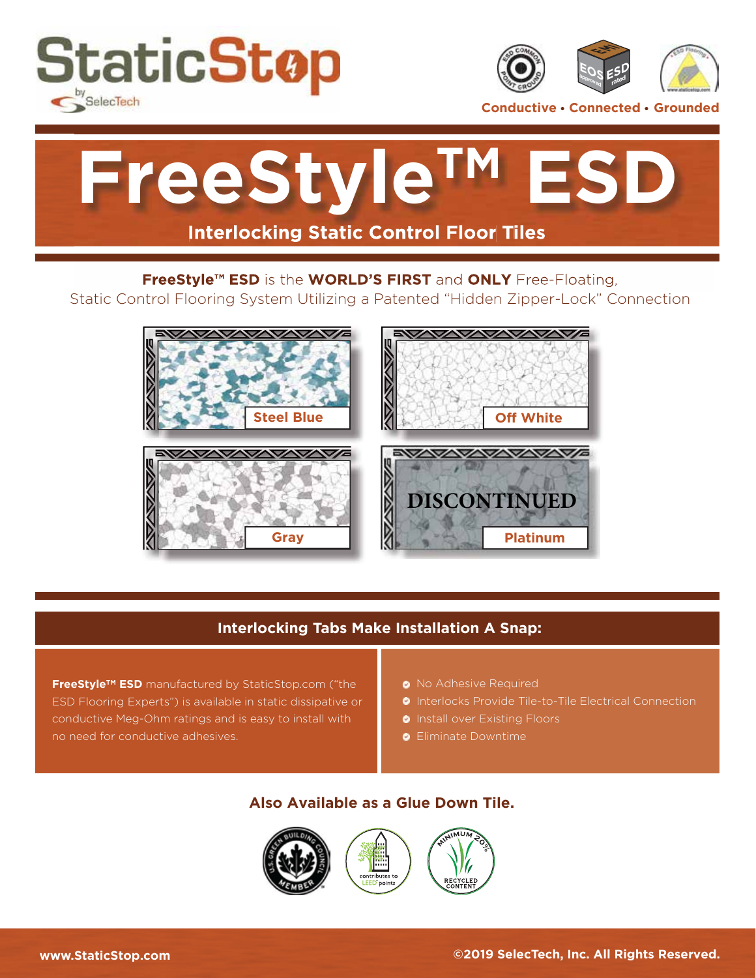



**Conductive • Connected • Grounded** 



#### **FreeStyle™ ESD** is the **WORLD'S FIRST** and **ONLY** Free-Floating,

Static Control Flooring System Utilizing a Patented "Hidden Zipper-Lock" Connection



### **Interlocking Tabs Make Installation A Snap:**

**FreeStyleTM ESD** manufactured by StaticStop.com ("the ESD Flooring Experts") is available in static dissipative or conductive Meg-Ohm ratings and is easy to install with no need for conductive adhesives.

- **•** No Adhesive Required
- **•** Interlocks Provide Tile-to-Tile Electrical Connection
- **Install over Existing Floors**
- **•** Eliminate Downtime

#### **Also Available as a Glue Down Tile.**